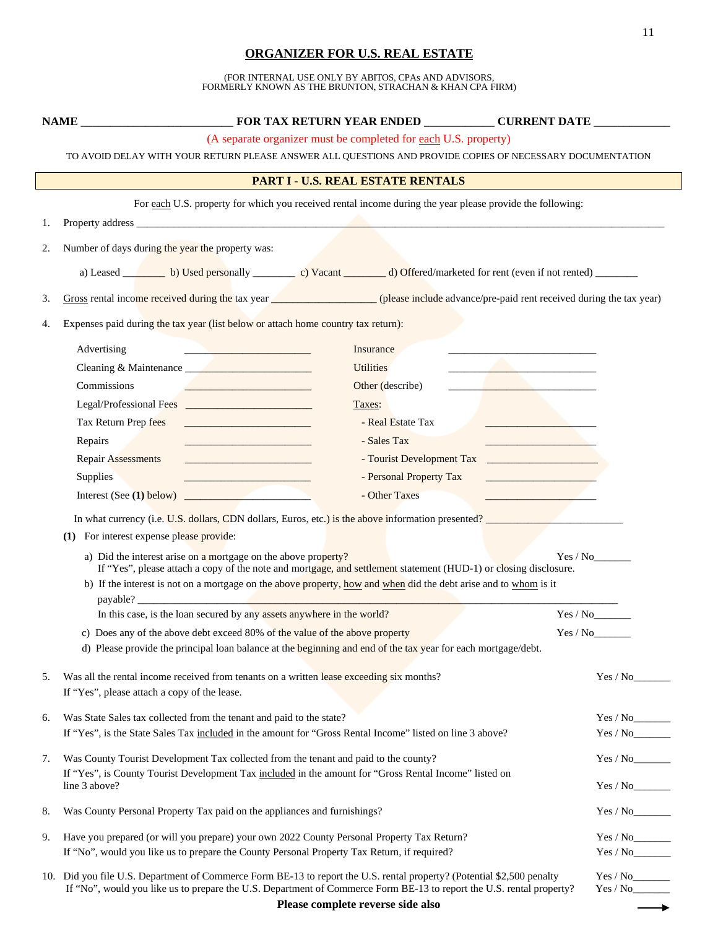## **ORGANIZER FOR U.S. REAL ESTATE**

(FOR INTERNAL USE ONLY BY ABITOS, CPAs AND ADVISORS, FORMERLY KNOWN AS THE BRUNTON, STRACHAN & KHAN CPA FIRM)

|                                                                                                           | (A separate organizer must be completed for each U.S. property)                                                                                                                                                                                                                                                                                                                                                                                                                                                                    |                      |  |  |  |  |  |
|-----------------------------------------------------------------------------------------------------------|------------------------------------------------------------------------------------------------------------------------------------------------------------------------------------------------------------------------------------------------------------------------------------------------------------------------------------------------------------------------------------------------------------------------------------------------------------------------------------------------------------------------------------|----------------------|--|--|--|--|--|
| TO AVOID DELAY WITH YOUR RETURN PLEASE ANSWER ALL QUESTIONS AND PROVIDE COPIES OF NECESSARY DOCUMENTATION |                                                                                                                                                                                                                                                                                                                                                                                                                                                                                                                                    |                      |  |  |  |  |  |
| PART I - U.S. REAL ESTATE RENTALS                                                                         |                                                                                                                                                                                                                                                                                                                                                                                                                                                                                                                                    |                      |  |  |  |  |  |
|                                                                                                           | For each U.S. property for which you received rental income during the year please provide the following:                                                                                                                                                                                                                                                                                                                                                                                                                          |                      |  |  |  |  |  |
| 1.                                                                                                        |                                                                                                                                                                                                                                                                                                                                                                                                                                                                                                                                    |                      |  |  |  |  |  |
| 2.                                                                                                        | Number of days during the year the property was:                                                                                                                                                                                                                                                                                                                                                                                                                                                                                   |                      |  |  |  |  |  |
|                                                                                                           | a) Leased b) Used personally c vacant d) Offered/marketed for rent (even if not rented)                                                                                                                                                                                                                                                                                                                                                                                                                                            |                      |  |  |  |  |  |
| 3.                                                                                                        | Gross rental income received during the tax year (please include advance/pre-paid rent received during the tax year)                                                                                                                                                                                                                                                                                                                                                                                                               |                      |  |  |  |  |  |
| 4.                                                                                                        | Expenses paid during the tax year (list below or attach home country tax return):                                                                                                                                                                                                                                                                                                                                                                                                                                                  |                      |  |  |  |  |  |
|                                                                                                           | Advertising<br>Insurance                                                                                                                                                                                                                                                                                                                                                                                                                                                                                                           |                      |  |  |  |  |  |
|                                                                                                           | <u> 1989 - Andrea Station Books, amerikansk politik (d. 1989)</u><br><b>Utilities</b><br>Cleaning & Maintenance                                                                                                                                                                                                                                                                                                                                                                                                                    |                      |  |  |  |  |  |
|                                                                                                           | Commissions<br>Other (describe)<br>the contract of the contract of the contract of<br>the control of the control of the control of the control of the control of                                                                                                                                                                                                                                                                                                                                                                   |                      |  |  |  |  |  |
|                                                                                                           | Taxes:                                                                                                                                                                                                                                                                                                                                                                                                                                                                                                                             |                      |  |  |  |  |  |
|                                                                                                           | Tax Return Prep fees<br>- Real Estate Tax<br><u> 2002 - Jan James James Barnett, martin de la partide de la partide de la partide de la partide de la partide d</u><br><u> 1999 - Johann Harry Barn, mars a</u>                                                                                                                                                                                                                                                                                                                    |                      |  |  |  |  |  |
|                                                                                                           | Repairs<br>- Sales Tax                                                                                                                                                                                                                                                                                                                                                                                                                                                                                                             |                      |  |  |  |  |  |
|                                                                                                           | <b>Repair Assessments</b><br><u> 1989 - Johann Barbara, martxa alemani</u> ar alemania                                                                                                                                                                                                                                                                                                                                                                                                                                             |                      |  |  |  |  |  |
|                                                                                                           | Supplies<br>- Personal Property Tax<br><u> 1989 - Johann Barn, mars an t-Amerikaansk ferstjer op de oars</u><br><u> 1989 - Johann Stein, martin santa shekara ta 1989 - A</u>                                                                                                                                                                                                                                                                                                                                                      |                      |  |  |  |  |  |
|                                                                                                           | - Other Taxes<br>Interest (See $(1)$ below)<br>the contract of the contract of the contract of                                                                                                                                                                                                                                                                                                                                                                                                                                     |                      |  |  |  |  |  |
|                                                                                                           | In what currency (i.e. U.S. dollars, CDN dollars, Euros, etc.) is the above information presented?<br>(1) For interest expense please provide:<br>a) Did the interest arise on a mortgage on the above property?<br>If "Yes", please attach a copy of the note and mortgage, and settlement statement (HUD-1) or closing disclosure.<br>b) If the interest is not on a mortgage on the above property, how and when did the debt arise and to whom is it<br>In this case, is the loan secured by any assets anywhere in the world? | Yes / No<br>Yes / No |  |  |  |  |  |
|                                                                                                           | c) Does any of the above debt exceed 80% of the value of the above property<br>Yes / No                                                                                                                                                                                                                                                                                                                                                                                                                                            |                      |  |  |  |  |  |
|                                                                                                           | d) Please provide the principal loan balance at the beginning and end of the tax year for each mortgage/debt.                                                                                                                                                                                                                                                                                                                                                                                                                      |                      |  |  |  |  |  |
| 5.                                                                                                        | Was all the rental income received from tenants on a written lease exceeding six months?<br>If "Yes", please attach a copy of the lease.                                                                                                                                                                                                                                                                                                                                                                                           | Yes / No             |  |  |  |  |  |
| 6.                                                                                                        | Was State Sales tax collected from the tenant and paid to the state?                                                                                                                                                                                                                                                                                                                                                                                                                                                               |                      |  |  |  |  |  |
|                                                                                                           | If "Yes", is the State Sales Tax included in the amount for "Gross Rental Income" listed on line 3 above?                                                                                                                                                                                                                                                                                                                                                                                                                          |                      |  |  |  |  |  |
| 7.                                                                                                        | Was County Tourist Development Tax collected from the tenant and paid to the county?                                                                                                                                                                                                                                                                                                                                                                                                                                               |                      |  |  |  |  |  |
|                                                                                                           | If "Yes", is County Tourist Development Tax included in the amount for "Gross Rental Income" listed on<br>line 3 above?                                                                                                                                                                                                                                                                                                                                                                                                            |                      |  |  |  |  |  |
| 8.                                                                                                        | Was County Personal Property Tax paid on the appliances and furnishings?                                                                                                                                                                                                                                                                                                                                                                                                                                                           | Yes / No             |  |  |  |  |  |
| 9.                                                                                                        | Have you prepared (or will you prepare) your own 2022 County Personal Property Tax Return?                                                                                                                                                                                                                                                                                                                                                                                                                                         |                      |  |  |  |  |  |
|                                                                                                           | If "No", would you like us to prepare the County Personal Property Tax Return, if required?                                                                                                                                                                                                                                                                                                                                                                                                                                        |                      |  |  |  |  |  |
|                                                                                                           | 10. Did you file U.S. Department of Commerce Form BE-13 to report the U.S. rental property? (Potential \$2,500 penalty<br>If "No", would you like us to prepare the U.S. Department of Commerce Form BE-13 to report the U.S. rental property?                                                                                                                                                                                                                                                                                     |                      |  |  |  |  |  |

 $\longrightarrow$